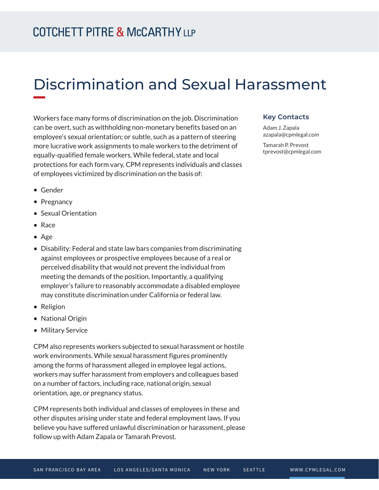# Discrimination and Sexual Harassment

Workers face many forms of discrimination on the job. Discrimination can be overt, such as withholding non-monetary benefits based on an employee's sexual orientation; or subtle, such as a pattern of steering more lucrative work assignments to male workers to the detriment of equally-qualified female workers. While federal, state and local protections for each form vary, CPM represents individuals and classes of employees victimized by discrimination on the basis of:

#### **Key Contacts**

Adam J. Zapala azapala@cpmlegal.com

Tamarah P. Prevost tprevost@cpmlegal.com

- Gender
- Pregnancy
- Sexual Orientation
- Race
- Age
- Disability: Federal and state law bars companies from discriminating against employees or prospective employees because of a real or perceived disability that would not prevent the individual from meeting the demands of the position. Importantly, a qualifying employer's failure to reasonably accommodate a disabled employee may constitute discrimination under California or federal law.
- Religion
- National Origin
- Military Service

CPM also represents workers subjected to sexual harassment or hostile work environments. While sexual harassment figures prominently among the forms of harassment alleged in employee legal actions, workers may suffer harassment from employers and colleagues based on a number of factors, including race, national origin, sexual orientation, age, or pregnancy status.

CPM represents both individual and classes of employees in these and other disputes arising under state and federal employment laws. If you believe you have suffered unlawful discrimination or harassment, please follow up with Adam Zapala or Tamarah Prevost.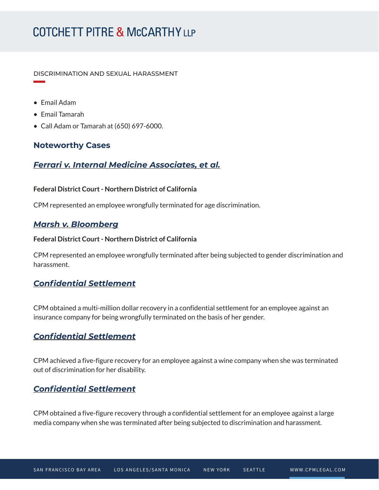# **COTCHETT PITRE & McCARTHY LLP**

DISCRIMINATION AND SEXUAL HARASSMENT

● Email Adam

**William Company** 

- Email Tamarah
- Call Adam or Tamarah at (650) 697-6000.

### **Noteworthy Cases**

### *Ferrari v. Internal Medicine Associates, et al.*

#### **Federal District Court - Northern District of California**

CPM represented an employee wrongfully terminated for age discrimination.

### *Marsh v. Bloomberg*

### **Federal District Court - Northern District of California**

CPM represented an employee wrongfully terminated after being subjected to gender discrimination and harassment.

### *Confidential Settlement*

CPM obtained a multi-million dollar recovery in a confidential settlement for an employee against an insurance company for being wrongfully terminated on the basis of her gender.

## *Confidential Settlement*

CPM achieved a five-figure recovery for an employee against a wine company when she was terminated out of discrimination for her disability.

## *Confidential Settlement*

CPM obtained a five-figure recovery through a confidential settlement for an employee against a large media company when she was terminated after being subjected to discrimination and harassment.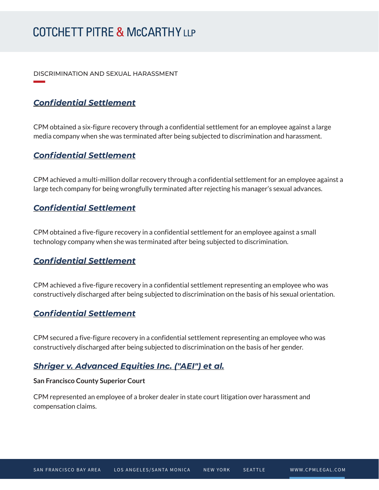# **COTCHETT PITRE & McCARTHY LLP**

DISCRIMINATION AND SEXUAL HARASSMENT

# *Confidential Settlement*

**William Company** 

CPM obtained a six-figure recovery through a confidential settlement for an employee against a large media company when she was terminated after being subjected to discrimination and harassment.

### *Confidential Settlement*

CPM achieved a multi-million dollar recovery through a confidential settlement for an employee against a large tech company for being wrongfully terminated after rejecting his manager's sexual advances.

### *Confidential Settlement*

CPM obtained a five-figure recovery in a confidential settlement for an employee against a small technology company when she was terminated after being subjected to discrimination.

## *Confidential Settlement*

CPM achieved a five-figure recovery in a confidential settlement representing an employee who was constructively discharged after being subjected to discrimination on the basis of his sexual orientation.

### *Confidential Settlement*

CPM secured a five-figure recovery in a confidential settlement representing an employee who was constructively discharged after being subjected to discrimination on the basis of her gender.

### *Shriger v. Advanced Equities Inc. ("AEI") et al.*

#### **San Francisco County Superior Court**

CPM represented an employee of a broker dealer in state court litigation over harassment and compensation claims.